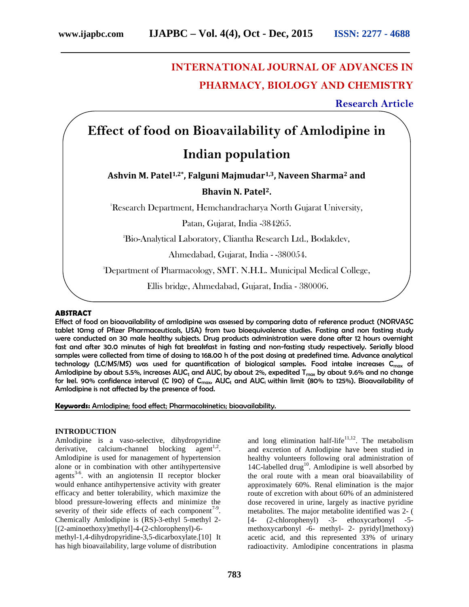# **INTERNATIONAL JOURNAL OF ADVANCES IN PHARMACY, BIOLOGY AND CHEMISTRY**

**Research Article**

# **Effect of food on Bioavailability of Amlodipine in**

# **Indian population**

**Ashvin M. Patel1,2\*, Falguni Majmudar1,3, Naveen Sharma<sup>2</sup> and**

## **Bhavin N. Patel2.**

<sup>1</sup>Research Department, Hemchandracharya North Gujarat University,

Patan, Gujarat, India -384265.

<sup>2</sup>Bio-Analytical Laboratory, Cliantha Research Ltd., Bodakdev,

Ahmedabad, Gujarat, India - -380054.

<sup>3</sup>Department of Pharmacology, SMT. N.H.L. Municipal Medical College,

Ellis bridge, Ahmedabad, Gujarat, India - 380006.

### **ABSTRACT**

Effect of food on bioavailability of amlodipine was assessed by comparing data of reference product (NORVASC tablet 10mg of Pfizer Pharmaceuticals, USA) from two bioequivalence studies. Fasting and non fasting study were conducted on 30 male healthy subjects. Drug products administration were done after 12 hours overnight fast and after 30.0 minutes of high fat breakfast in fasting and non-fasting study respectively. Serially blood samples were collected from time of dosing to 168.00 h of the post dosing at predefined time. Advance analytical technology (LC/MS/MS) was used for quantification of biological samples. Food intake increases  $C_{\text{max}}$  of Amlodipine by about 5.5%, increases AUC<sub>t</sub> and AUC<sub>i</sub> by about 2%, expedited T<sub>max</sub> by about 9.6% and no change for kel. 90% confidence interval (C I90) of C<sub>max</sub>, AUC<sub>t</sub> and AUC<sub>i</sub> within limit (80% to 125%). Bioavailability of Amlodipine is not affected by the presence of food.

**Keywords:** Amlodipine; food effect; Pharmacokinetics; bioavailability.

#### **INTRODUCTION**

Amlodipine is a vaso-selective, dihydropyridine derivative, calcium-channel blocking  $\text{agent}^{1,2}$ . Amlodipine is used for management of hypertension alone or in combination with other antihypertensive agents<sup>3-6</sup>, with an angiotensin II receptor blocker would enhance antihypertensive activity with greater efficacy and better tolerability, which maximize the blood pressure-lowering effects and minimize the severity of their side effects of each component<sup>7-9</sup>. Chemically Amlodipine is (RS)-3-ethyl 5-methyl 2- [(2-aminoethoxy)methyl]-4-(2-chlorophenyl)-6 methyl-1,4-dihydropyridine-3,5-dicarboxylate.[10] It has high bioavailability, large volume of distribution

and long elimination half-life<sup>11,12</sup>. The metabolism and excretion of Amlodipine have been studied in healthy volunteers following oral administration of 14C-labelled drug<sup>10</sup>. Amlodipine is well absorbed by the oral route with a mean oral bioavailability of approximately 60%. Renal elimination is the major route of excretion with about 60% of an administered dose recovered in urine, largely as inactive pyridine metabolites. The major metabolite identified was 2- ( [4- (2-chlorophenyl) -3- ethoxycarbonyl -5 methoxycarbonyl -6- methyl- 2- pyridyl]methoxy) acetic acid, and this represented 33% of urinary radioactivity. Amlodipine concentrations in plasma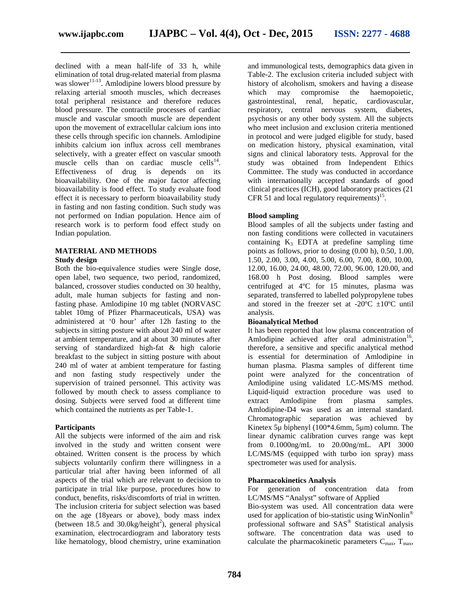declined with a mean half-life of 33 h, while elimination of total drug-related material from plasma was slower<sup>11-13</sup>. Amlodipine lowers blood pressure by relaxing arterial smooth muscles, which decreases total peripheral resistance and therefore reduces blood pressure. The contractile processes of cardiac muscle and vascular smooth muscle are dependent upon the movement of extracellular calcium ions into these cells through specific ion channels. Amlodipine inhibits calcium ion influx across cell membranes selectively, with a greater effect on vascular smooth muscle cells than on cardiac muscle cells<sup>14</sup>. Effectiveness of drug is depends on its bioavailability. One of the major factor affecting bioavailability is food effect. To study evaluate food effect it is necessary to perform bioavailability study in fasting and non fasting condition. Such study was not performed on Indian population. Hence aim of research work is to perform food effect study on

# **MATERIAL AND METHODS**

#### **Study design**

Indian population.

Both the bio-equivalence studies were Single dose, open label, two sequence, two period, randomized, balanced, crossover studies conducted on 30 healthy, adult, male human subjects for fasting and nonfasting phase. Amlodipine 10 mg tablet (NORVASC tablet 10mg of Pfizer Pharmaceuticals, USA) was administered at '0 hour' after 12h fasting to the subjects in sitting posture with about 240 ml of water at ambient temperature, and at about 30 minutes after serving of standardized high-fat & high calorie breakfast to the subject in sitting posture with about 240 ml of water at ambient temperature for fasting and non fasting study respectively under the supervision of trained personnel. This activity was followed by mouth check to assess compliance to dosing. Subjects were served food at different time which contained the nutrients as per Table-1.

#### **Participants**

All the subjects were informed of the aim and risk involved in the study and written consent were obtained. Written consent is the process by which subjects voluntarily confirm there willingness in a particular trial after having been informed of all aspects of the trial which are relevant to decision to participate in trial like purpose, procedures how to conduct, benefits, risks/discomforts of trial in written. The inclusion criteria for subject selection was based on the age (18years or above), body mass index (between 18.5 and 30.0kg/height<sup>2</sup>), general physical examination, electrocardiogram and laboratory tests like hematology, blood chemistry, urine examination

and immunological tests, demographics data given in Table-2. The exclusion criteria included subject with history of alcoholism, smokers and having a disease which may compromise the haemopoietic, gastrointestinal, renal, hepatic, cardiovascular, respiratory, central nervous system, diabetes, psychosis or any other body system. All the subjects who meet inclusion and exclusion criteria mentioned in protocol and were judged eligible for study, based on medication history, physical examination, vital signs and clinical laboratory tests. Approval for the study was obtained from Independent Ethics Committee. The study was conducted in accordance with internationally accepted standards of good clinical practices (ICH), good laboratory practices (21 CFR 51 and local regulatory requirements)<sup>15</sup>.

### **Blood sampling**

Blood samples of all the subjects under fasting and non fasting conditions were collected in vacutainers containing  $K_3$  EDTA at predefine sampling time points as follows, prior to dosing (0.00 h), 0.50, 1.00, 1.50, 2.00, 3.00, 4.00, 5.00, 6.00, 7.00, 8.00, 10.00, 12.00, 16.00, 24.00, 48.00, 72.00, 96.00, 120.00, and 168.00 h Post dosing. Blood samples were centrifuged at 4ºC for 15 minutes, plasma was separated, transferred to labelled polypropylene tubes and stored in the freezer set at -20 $^{\circ}$ C  $\pm$ 10 $^{\circ}$ C until analysis.

### **Bioanalytical Method**

It has been reported that low plasma concentration of Amlodipine achieved after oral administration<sup>16</sup>, therefore, a sensitive and specific analytical method is essential for determination of Amlodipine in human plasma. Plasma samples of different time point were analyzed for the concentration of Amlodipine using validated LC-MS/MS method. Liquid-liquid extraction procedure was used to extract Amlodipine from plasma samples. Amlodipine-D4 was used as an internal standard. Chromatographic separation was achieved by Kinetex 5μ biphenyl (100\*4.6mm, 5μm) column. The linear dynamic calibration curves range was kept from 0.1000ng/mL to 20.00ng/mL. API 3000 LC/MS/MS (equipped with turbo ion spray) mass spectrometer was used for analysis.

#### **Pharmacokinetics Analysis**

For generation of concentration data from LC/MS/MS "Analyst" software of Applied

Bio-system was used. All concentration data were used for application of bio-statistic using WinNonlin® professional software and SAS® Statistical analysis software. The concentration data was used to calculate the pharmacokinetic parameters  $C_{\text{max}}$ ,  $T_{\text{max}}$ ,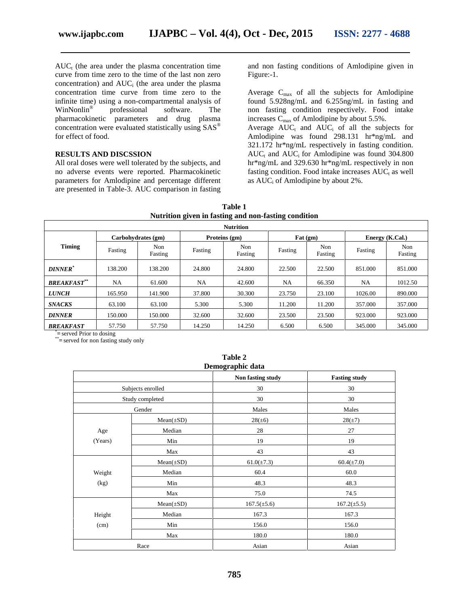$AUC_t$  (the area under the plasma concentration time curve from time zero to the time of the last non zero concentration) and  $AUC_i$  (the area under the plasma concentration time curve from time zero to the infinite time) using a non-compartmental analysis of<br>WinNonlin<sup>®</sup> professional software. The professional software. The pharmacokinetic parameters and drug plasma concentration were evaluated statistically using SAS® for effect of food.

#### **RESULTS AND DISCSSION**

All oral doses were well tolerated by the subjects, and no adverse events were reported. Pharmacokinetic parameters for Amlodipine and percentage different are presented in Table-3. AUC comparison in fasting and non fasting conditions of Amlodipine given in Figure:-1.

Average  $C_{\text{max}}$  of all the subjects for Amlodipine found 5.928ng/mL and 6.255ng/mL in fasting and non fasting condition respectively. Food intake increases  $C_{\text{max}}$  of Amlodipine by about 5.5%. Average  $AUC_t$  and  $AUC_i$  of all the subjects for

Amlodipine was found 298.131 hr\*ng/mL and 321.172 hr\*ng/mL respectively in fasting condition.  $AUC_t$  and  $AUC_i$  for Amlodipine was found 304.800 hr\*ng/mL and 329.630 hr\*ng/mL respectively in non fasting condition. Food intake increases  $AUC_t$  as well as  $AUC_i$  of Amlodipine by about 2%.

| -<br>.<br><b>Nutrition</b> |                    |                |               |                |          |                |                 |                |
|----------------------------|--------------------|----------------|---------------|----------------|----------|----------------|-----------------|----------------|
|                            | Carbohydrates (gm) |                | Proteins (gm) |                | Fat (gm) |                | Energy (K.Cal.) |                |
| <b>Timing</b>              | Fasting            | Non<br>Fasting | Fasting       | Non<br>Fasting | Fasting  | Non<br>Fasting | Fasting         | Non<br>Fasting |
| <b>DINNER</b> <sup>*</sup> | 138.200            | 138.200        | 24.800        | 24.800         | 22.500   | 22.500         | 851.000         | 851.000        |
| <b>BREAKFAST**</b>         | NA.                | 61.600         | NA.           | 42.600         | NA       | 66.350         | NA              | 1012.50        |
| <b>LUNCH</b>               | 165.950            | 141.900        | 37.800        | 30.300         | 23.750   | 23.100         | 1026.00         | 890,000        |
| <b>SNACKS</b>              | 63.100             | 63.100         | 5.300         | 5.300          | 11.200   | 11.200         | 357.000         | 357.000        |
| <b>DINNER</b>              | 150.000            | 150.000        | 32.600        | 32.600         | 23.500   | 23.500         | 923.000         | 923.000        |
| <b>BREAKFAST</b>           | 57.750             | 57.750         | 14.250        | 14.250         | 6.500    | 6.500          | 345.000         | 345.000        |

| Table 1                                              |  |
|------------------------------------------------------|--|
| Nutrition given in fasting and non-fasting condition |  |

\***=** served Prior to dosing

\***=** served for non fasting study only

| Demographic data |                   |                   |                      |  |  |  |
|------------------|-------------------|-------------------|----------------------|--|--|--|
|                  |                   | Non fasting study | <b>Fasting study</b> |  |  |  |
|                  | Subjects enrolled | 30                | 30                   |  |  |  |
|                  | Study completed   | 30                | 30                   |  |  |  |
| Gender           |                   | Males             | Males                |  |  |  |
|                  | $Mean(\pm SD)$    | $28(\pm 6)$       | $28(\pm 7)$          |  |  |  |
| Age              | Median            | 28                | 27                   |  |  |  |
| (Years)          | Min               | 19                | 19                   |  |  |  |
|                  | Max               | 43                | 43                   |  |  |  |
|                  | $Mean(\pm SD)$    | $61.0(\pm 7.3)$   | $60.4(\pm 7.0)$      |  |  |  |
| Weight           | Median            | 60.4              | 60.0                 |  |  |  |
| (kg)             | Min               | 48.3              | 48.3                 |  |  |  |
|                  | Max               | 75.0              | 74.5                 |  |  |  |
|                  | $Mean(\pm SD)$    | $167.5(\pm 5.6)$  | $167.2(\pm 5.5)$     |  |  |  |
| Height           | Median            | 167.3             | 167.3                |  |  |  |
| (cm)             | Min               | 156.0             | 156.0                |  |  |  |
|                  | Max               | 180.0             | 180.0                |  |  |  |
|                  | Race              | Asian             | Asian                |  |  |  |

**Table 2**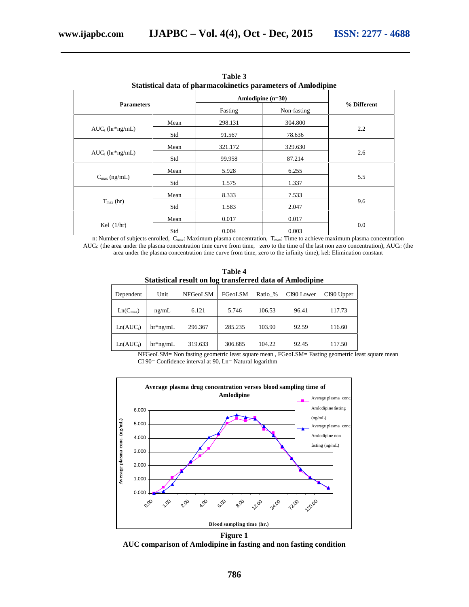| Statistical data of pharmacokinetics parameters of Amiodipine |      |                        |         |             |  |  |
|---------------------------------------------------------------|------|------------------------|---------|-------------|--|--|
|                                                               |      | Amlodipine $(n=30)$    |         |             |  |  |
| <b>Parameters</b>                                             |      | Non-fasting<br>Fasting |         | % Different |  |  |
|                                                               | Mean | 298.131                | 304.800 |             |  |  |
| $AUC_t$ (hr*ng/mL)                                            | Std  | 91.567                 | 78.636  | 2.2         |  |  |
|                                                               | Mean | 321.172                | 329.630 |             |  |  |
| $AUC_i$ (hr*ng/mL)                                            | Std  | 99.958                 | 87.214  | 2.6         |  |  |
|                                                               | Mean | 5.928                  | 6.255   |             |  |  |
| $C_{\text{max}}$ (ng/mL)                                      | Std  | 1.575                  | 1.337   | 5.5         |  |  |
|                                                               | Mean | 8.333                  | 7.533   |             |  |  |
| $T_{\text{max}}$ (hr)                                         | Std  | 1.583                  | 2.047   | 9.6         |  |  |
|                                                               | Mean | 0.017                  | 0.017   |             |  |  |
| Kel $(1/hr)$                                                  | Std  | 0.004                  | 0.003   | 0.0         |  |  |

**Table 3 Statistical data of pharmacokinetics parameters of Amlodipine**

n: Number of subjects enrolled, C<sub>max</sub>: Maximum plasma concentration, T<sub>max</sub>: Time to achieve maximum plasma concentration AUC<sub>i</sub>: (the area under the plasma concentration time curve from time, zero to the time of the last non zero concentration), AUC<sub>i</sub>: (the area under the plasma concentration time curve from time, zero to the infinity time), kel: Elimination constant

**Table 4 Statistical result on log transferred data of Amlodipine**

| Dependent             | Unit       | <b>NFGeoLSM</b> | FGeoLSM | Ratio % | CI90 Lower | CI90 Upper |  |
|-----------------------|------------|-----------------|---------|---------|------------|------------|--|
| $Ln(C_{max})$         | ng/mL      | 6.121           | 5.746   | 106.53  | 96.41      | 117.73     |  |
| Ln(AUC <sub>t</sub> ) | $hr*ng/mL$ | 296.367         | 285.235 | 103.90  | 92.59      | 116.60     |  |
| $Ln(AUC_i)$           | $hr*ng/mL$ | 319.633         | 306.685 | 104.22  | 92.45      | 117.50     |  |

NFGeoLSM= Non fasting geometric least square mean , FGeoLSM= Fasting geometric least square mean CI 90= Confidence interval at 90, Ln= Natural logarithm



**Figure 1 AUC comparison of Amlodipine in fasting and non fasting condition**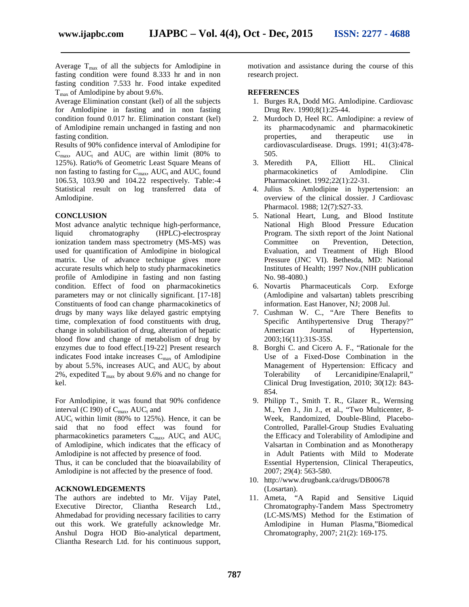Average  $T_{\text{max}}$  of all the subjects for Amlodipine in fasting condition were found 8.333 hr and in non fasting condition 7.533 hr. Food intake expedited  $T_{\text{max}}$  of Amlodipine by about 9.6%.

Average Elimination constant (kel) of all the subjects for Amlodipine in fasting and in non fasting condition found 0.017 hr. Elimination constant (kel) of Amlodipine remain unchanged in fasting and non fasting condition.

Results of 90% confidence interval of Amlodipine for  $C_{\text{max}}$ , AUC<sub>t</sub> and AUC<sub>i</sub> are within limit (80% to 125%). Ratio% of Geometric Least Square Means of non fasting to fasting for  $C_{\text{max}}$ , AUC<sub>t</sub> and AUC<sub>i</sub> found 106.53, 103.90 and 104.22 respectively. Table:-4 Statistical result on log transferred data of Amlodipine.

#### **CONCLUSION**

Most advance analytic technique high-performance, liquid chromatography (HPLC)-electrospray ionization tandem mass spectrometry (MS-MS) was used for quantification of Amlodipine in biological matrix. Use of advance technique gives more accurate results which help to study pharmacokinetics profile of Amlodipine in fasting and non fasting condition. Effect of food on pharmacokinetics parameters may or not clinically significant. [17-18] Constituents of food can change pharmacokinetics of drugs by many ways like delayed gastric emptying time, complexation of food constituents with drug, change in solubilisation of drug, alteration of hepatic blood flow and change of metabolism of drug by enzymes due to food effect.[19-22] Present research indicates Food intake increases  $C_{\text{max}}$  of Amlodipine by about 5.5%, increases  $AUC_t$  and  $AUC_i$  by about 2%, expedited  $T_{\text{max}}$  by about 9.6% and no change for kel.

For Amlodipine, it was found that 90% confidence interval (C I90) of  $C_{\text{max}}$ , AU $C_t$  and

AUC<sub>i</sub> within limit  $(80\% \text{ to } 125\%)$ . Hence, it can be said that no food effect was found for pharmacokinetics parameters  $C_{\text{max}}$ , AUC<sub>t</sub> and AUC<sub>i</sub> of Amlodipine, which indicates that the efficacy of Amlodipine is not affected by presence of food.

Thus, it can be concluded that the bioavailability of Amlodipine is not affected by the presence of food.

#### **ACKNOWLEDGEMENTS**

The authors are indebted to Mr. Vijay Patel, Executive Director, Cliantha Research Ltd., Ahmedabad for providing necessary facilities to carry out this work. We gratefully acknowledge Mr. Anshul Dogra HOD Bio-analytical department, Cliantha Research Ltd. for his continuous support,

motivation and assistance during the course of this research project.

#### **REFERENCES**

- 1. Burges RA, Dodd MG. Amlodipine. Cardiovasc Drug Rev. 1990;8(1):25-44.
- 2. Murdoch D, Heel RC. Amlodipine: a review of its pharmacodynamic and pharmacokinetic and therapeutic use in cardiovasculardisease. Drugs. 1991; 41(3):478- 505.
- 3. Meredith PA, Elliott HL. Clinical pharmacokinetics of Amlodipine. Clin Pharmacokinet. 1992;22(1):22-31.
- 4. Julius S. Amlodipine in hypertension: an overview of the clinical dossier. J Cardiovasc Pharmacol. 1988; 12(7):S27-33.
- 5. National Heart, Lung, and Blood Institute National High Blood Pressure Education Program. The sixth report of the Joint National Committee on Prevention, Detection, Evaluation, and Treatment of High Blood Pressure (JNC VI). Bethesda, MD: National Institutes of Health; 1997 Nov.(NIH publication No. 98-4080.)
- 6. Novartis Pharmaceuticals Corp. Exforge (Amlodipine and valsartan) tablets prescribing information. East Hanover, NJ; 2008 Jul.
- 7. Cushman W. C., "Are There Benefits to Specific Antihypertensive Drug Therapy?" American Journal of Hypertension, 2003;16(11):31S-35S.
- 8. Borghi C. and Cicero A. F., "Rationale for the Use of a Fixed-Dose Combination in the Management of Hypertension: Efficacy and Tolerability of Lercanidipine/Enalapril," Clinical Drug Investigation, 2010; 30(12): 843- 854.
- 9. Philipp T., Smith T. R., Glazer R., Wernsing M., Yen J., Jin J., et al., "Two Multicenter, 8- Week, Randomized, Double-Blind, Placebo- Controlled, Parallel-Group Studies Evaluating the Efficacy and Tolerability of Amlodipine and Valsartan in Combination and as Monotherapy in Adult Patients with Mild to Moderate Essential Hypertension, Clinical Therapeutics, 2007; 29(4): 563-580.
- 10. http://www.drugbank.ca/drugs/DB00678 (Losartan).
- 11. Ameta, "A Rapid and Sensitive Liquid Chromatography-Tandem Mass Spectrometry (LC-MS/MS) Method for the Estimation of Amlodipine in Human Plasma,"Biomedical Chromatography, 2007; 21(2): 169-175.